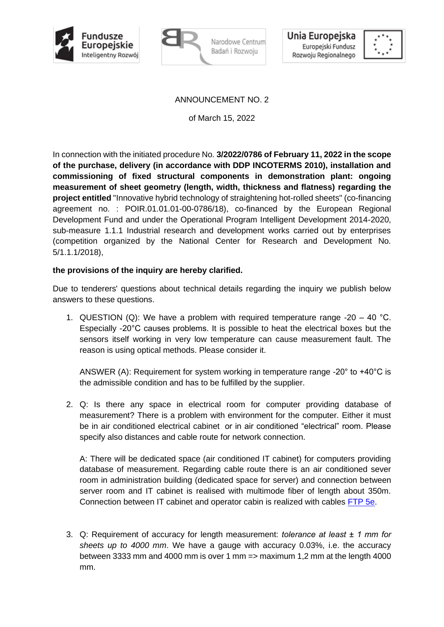



Narodowe Centrum Badań i Rozwoju



## ANNOUNCEMENT NO. 2

of March 15, 2022

In connection with the initiated procedure No. **3/2022/0786 of February 11, 2022 in the scope of the purchase, delivery (in accordance with DDP INCOTERMS 2010), installation and commissioning of fixed structural components in demonstration plant: ongoing measurement of sheet geometry (length, width, thickness and flatness) regarding the project entitled** "Innovative hybrid technology of straightening hot-rolled sheets" (co-financing agreement no. : POIR.01.01.01-00-0786/18), co-financed by the European Regional Development Fund and under the Operational Program Intelligent Development 2014-2020, sub-measure 1.1.1 Industrial research and development works carried out by enterprises (competition organized by the National Center for Research and Development No. 5/1.1.1/2018),

## **the provisions of the inquiry are hereby clarified.**

Due to tenderers' questions about technical details regarding the inquiry we publish below answers to these questions.

1. QUESTION (Q): We have a problem with required temperature range -20 – 40 °C. Especially -20°C causes problems. It is possible to heat the electrical boxes but the sensors itself working in very low temperature can cause measurement fault. The reason is using optical methods. Please consider it.

ANSWER (A): Requirement for system working in temperature range -20° to +40°C is the admissible condition and has to be fulfilled by the supplier.

2. Q: Is there any space in electrical room for computer providing database of measurement? There is a problem with environment for the computer. Either it must be in air conditioned electrical cabinet or in air conditioned "electrical" room. Please specify also distances and cable route for network connection.

A: There will be dedicated space (air conditioned IT cabinet) for computers providing database of measurement. Regarding cable route there is an air conditioned sever room in administration building (dedicated space for server) and connection between server room and IT cabinet is realised with multimode fiber of length about 350m. Connection between IT cabinet and operator cabin is realized with cables FTP 5e.

3. Q: Requirement of accuracy for length measurement: *tolerance at least ± 1 mm for sheets up to 4000 mm*. We have a gauge with accuracy 0.03%, i.e. the accuracy between 3333 mm and 4000 mm is over 1 mm => maximum 1,2 mm at the length 4000 mm.